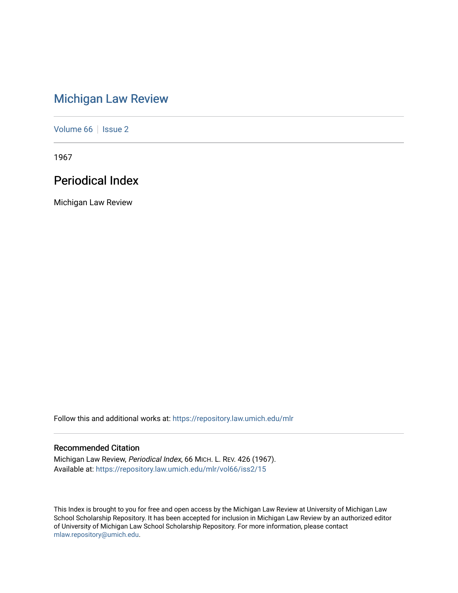# [Michigan Law Review](https://repository.law.umich.edu/mlr)

[Volume 66](https://repository.law.umich.edu/mlr/vol66) | [Issue 2](https://repository.law.umich.edu/mlr/vol66/iss2)

1967

# Periodical Index

Michigan Law Review

Follow this and additional works at: [https://repository.law.umich.edu/mlr](https://repository.law.umich.edu/mlr?utm_source=repository.law.umich.edu%2Fmlr%2Fvol66%2Fiss2%2F15&utm_medium=PDF&utm_campaign=PDFCoverPages) 

# Recommended Citation

Michigan Law Review, Periodical Index, 66 MICH. L. REV. 426 (1967). Available at: [https://repository.law.umich.edu/mlr/vol66/iss2/15](https://repository.law.umich.edu/mlr/vol66/iss2/15?utm_source=repository.law.umich.edu%2Fmlr%2Fvol66%2Fiss2%2F15&utm_medium=PDF&utm_campaign=PDFCoverPages) 

This Index is brought to you for free and open access by the Michigan Law Review at University of Michigan Law School Scholarship Repository. It has been accepted for inclusion in Michigan Law Review by an authorized editor of University of Michigan Law School Scholarship Repository. For more information, please contact [mlaw.repository@umich.edu.](mailto:mlaw.repository@umich.edu)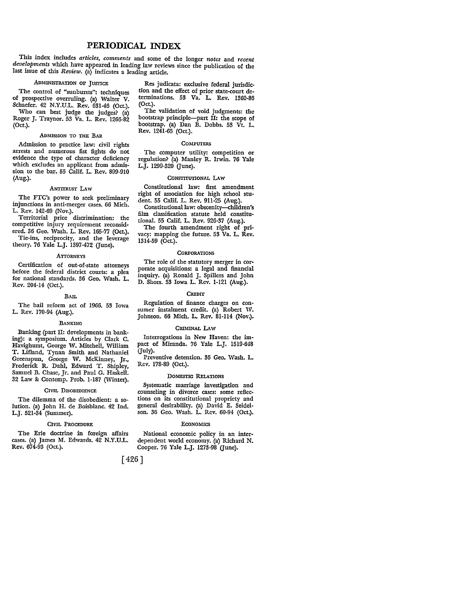# **PERIODICAL INDEX**

This index includes *articles, comments* and some of the longer *notes* and *recent developments* which have appeared in leading law reviews since the publication of the last issue of this *Review.* (a) indicates a leading article.

# ADMINISTRATION OF JUSTICE

The control of "sunbursts": techniques of prospective overruling. (a) Walter V. Schaefer. 42 N.Y.U.L. Rev. 631-46 (Oct.).

Who can best judge the judges? (a) Roger J. Traynor. 53 Va. L. Rev. 1266-82 (Oct.).

# ADMISSION TO THE BAR

Admission to practice law: civil rights arrests and numerous fist fights do not evidence the type of character deficiency which excludes an applicant from admission to the bar. 55 Calif. L. Rev. 899-910 (Aug.).

#### ArTIRusr LAw

The FTC's power to seek preliminary injunctions in anti-merger cases. 66 Mich. L. Rev. 142-69 (Nov.).

Territorial price discrimination: the competitive injury requirement reconsidered. 36 Geo. Wash. L. Rev. 165-77 (Oct.).

Tie-ins, reciprocity, and the leverage theory. 76 Yale L.J. 1397-472 (June).

#### **ATTORNEYS**

Certification of out-of-state attorneys before the federal district courts: a plea for national standards. 36 Geo. Wash. L. Rev. 204-14 (Oct.).

#### **BAIL**

The bail reform act of 1966. **53** Iowa L. Rev. 170-94 (Aug.).

#### BANKING

Banking (part II: developments in banking): a symposium. Articles by Clark **C.** Havighurst, George W. Mitchell, William T. Lifland, Tynan Smith and Nathaniel Greenspun, George W. McKinney, Jr., Frederick R. Dahl, Edward T. Shipley, Samuel B. Chase, Jr. and Paul G. Haskell. 32 Law & Contemp. Prob. 1-187 (Winter).

#### CIVIL DISOBEDIENCE

The dilemma of the disobedient: a solution. (a) John H. de Boisblanc. 42 Ind. LJ. 521-34 (Summer).

#### CIVIL PROCEDURE

The Erie doctrine in foreign affairs cases. (a) James M. Edwards. 42 N.Y.U.L. Rev. 674-93 (Oct.).

Res judicata: exclusive federal jurisdiction and the effect of prior state-court determinations. **53** Va. L. Rev. 1360-86 (Oct.).

The validation of void judgments: the bootstrap principle-part **II:** the scope of bootstrap. (a) Dan B. Dobbs. 53 Vt. L. Rev. 1241-65 (Oct.).

#### **COMPUTERS**

The computer utility: competition or regulation? (a) Manley R. Irwin. **76** Yale L.J. 1299-320 (June).

# CONSTITUTIONAL LAW

Constitutional law: first amendment right of association for high school student. **55** Calif. L. Rev. 911-25 (Aug.).

Constitutional law: obscenity--children's film classification statute held constitutional. **55** Calif. L. Rev. **926-37** (Aug.).

The fourth amendment right of privacy: mapping the future. **53** Va. L. Rev. 1314-59 (Oct.).

# **CORPORATIONS**

The role of the statutory merger in corporate acquisitions: a legal and financial inquiry. (a) Ronald J. Spillers and John **D.** Shors. **53** Iowa L. Rev. 1-121 (Aug.).

#### *CRErr*

Regulation of finance charges on consumer instalment credit. (a) Robert **W.** Johnson. **66** Mich. L. Rev. 81-114 (Nov.).

#### CRIMINAL LAW

Interrogations in New Haven: the impact of Miranda. 76 Yale L.J. 1519-648 (July).

Preventive detention. 36 Geo. Wash. L. Rev. 178-89 (Oct.).

#### DOMESTIC RELATIONS

Systematic marriage investigation and counseling in divorce cases: some reflections on its constitutional propriety and general desirability. (a) David E. Seidelson. 36 Geo. Wash. L. Rev. 60-94 (Oct.).

#### **ECONOMICS**

National economic policy in an interdependent world economy. (a) Richard **N.** Cooper. **76** Yale L.J. **1273-98** (June).

[426 **]**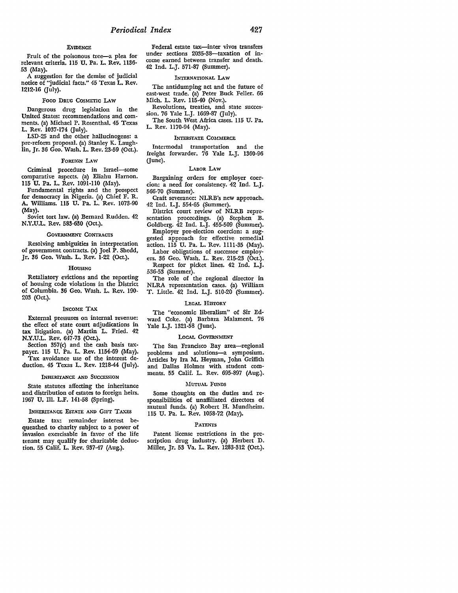## **EVIDENCE**

Fruit of the poisonous tree-a plea for relevant criteria. **115 U.** Pa. L. Rev. 1136- **53** (May).

**A** suggestion for the demise of judicial notice of "judicial facts." 45 Texas L. Rev. **1212-16** (July).

#### **FOOD DRUG CosMETIc LAW**

Dangerous drug legislation in the United States: recommendations and comments. (a) Michael P. Rosenthal. 45 Texas L. Rev. 1037-174 (July).

LSD-25 and the other hallucinogens: a pre-reform proposal. (a) Stanley K. Laughlin, Jr. **36** Geo. Wash. L. Rev. **23-59** (Oct.).

## FOREIGN LAW

Criminal procedure in Israel--some comparative aspects. (a) Eliahu Harnon. **115** U. Pa. L. Rev. 1091-110 (May).

Fundamental rights and the prospect for democracy in Nigeria. (a) Chief F. R. A. Williams. **115** U. Pa. L. Rev. 1073-90 (May).

Soviet tort law. (a) Bernard Rudden. 42 N.Y.U.L. Rev. **583-630** (Oct.).

#### **GOVERNMENT CONTRACTS**

Resolving ambiguities in interpretation of government contracts. (a) Joel P. Shedd, Jr. **36** Geo. Wash. L. Rev. 1-22 (Oct.).

#### **HOUSING**

Retaliatory evictions and the reporting of housing code violations in the District of Columbia. **36** Geo. Wash. L. Rev. 190- **203** (Oct.).

#### **INCOME** TAX

External pressures on internal revenue: the effect of state court adjudications in tax litigation. (a) Martin L. Fried. 42 **N.Y.U.L.** Rev. **647-73** (Oct.).

Section 357(c) and the cash basis taxpayer. **115 U.** Pa. L. Rev. 1154-69 (May). Tax avoidance use of the interest deduction. 45 Texas L. Rev. 1218-44 (July).

### INHERITANcE **AND SUCCEssION**

State statutes affecting the inheritance and distribution of estates to foreign heirs. 1967 **U.** Ill. L.F. 141-58 (Spring).

#### **INHERITANCE ESTATE AND GIFT TAXES**

Estate tax: remainder interest bequeathed to charity subject to a power of invasion exercisable in favor of the life tenant may qualify for charitable deduction. **55** Calif. L. Rev. 937-47 (Aug.).

Federal estate tax-inter vivos transfers under sections 2035-38-taxation of income earned between transfer and death. 42 Ind. L.J. 571-87 (Summer).

### INTERNATIONAL LAW

The antidumping act and the future of east-west trade. (a) Peter Buck Feller. **66** Mich. L. Rev. 115-40 (Nov.).

Revolutions, treaties, and state succession. 76 Yale L.J. 1669-87 (July).

The South West Africa cases. **115** U. Pa. L. Rev. 1170-94 (May).

#### **INTERSTATE COMMERCE**

Intermodal transportation and the freight forwarder. **76** Yale L.J. 1360-96 (June).

#### LABOR LAw

Bargaining orders for employer coercion: a need for consistency. 42 Ind. L.J. **566-70** (Summer).

Craft severance: NLRB's new approach. 42 Ind. L.J. **554-65** (Summer).

District court review of NLRB representation proceedings. (a) Stephen B. Goldberg. 42 Ind. L.J. **455-509** (Summer). Employer pre-election coercion: a suggested approach for effective remedial action. **115 U.** Pa. L. Rev. **1111-35** (May).

Labor obligations of successor employers. 36 Geo. Wash. L. Rev. 215-23 (Oct.). Respect for picket lines. 42 Ind. L.J.

536-53 (Summer). The role of the regional director in NLRA representation cases. (a) William T. Little. 42 Ind. L.J. **510-20** (Summer).

# LEGAL HISTORY

The "economic liberalism" of Sir **Ed**ward Coke. (a) Barbara Malament. **76** Yale L.J. **1321-58** (June).

#### LoCAL GOVERNMENT

The San Francisco Bay area-regional problems and solutions-a symposium. Articles by Ira M. Heyman, John Griffith and Dallas Holmes with student comments. **55** Calif. L. Rev. 695-897 (Aug.).

#### **'MUTUAL FUNDS**

Some thoughts on the duties and responsibilities of unaffiliated directors of mutual funds. (a) Robert H. Mundheim. **115 U.** Pa. L. Rev. 1058-72 (May).

#### **PATENTS**

Patent license restrictions in the prescription drug industry. (a) Herbert D. Miller, Jr. **53** Va. L. Rev. **1283-312** (Oct.).